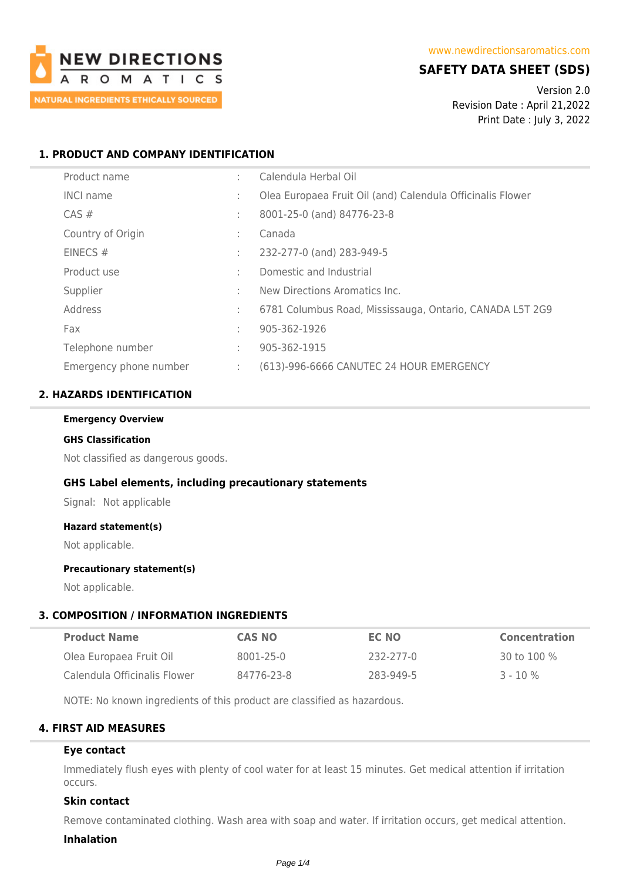

# **SAFETY DATA SHEET (SDS)**

Version 2.0 Revision Date : April 21,2022 Print Date : July 3, 2022

## **1. PRODUCT AND COMPANY IDENTIFICATION**

| Product name           | ÷ | Calendula Herbal Oil                                       |
|------------------------|---|------------------------------------------------------------|
| <b>INCI name</b>       | ÷ | Olea Europaea Fruit Oil (and) Calendula Officinalis Flower |
| $CAS \#$               | ÷ | 8001-25-0 (and) 84776-23-8                                 |
| Country of Origin      | ÷ | Canada                                                     |
| EINECS $#$             | ÷ | 232-277-0 (and) 283-949-5                                  |
| Product use            | ÷ | Domestic and Industrial                                    |
| Supplier               | ٠ | New Directions Aromatics Inc.                              |
| Address                | ÷ | 6781 Columbus Road, Mississauga, Ontario, CANADA L5T 2G9   |
| Fax                    | ÷ | 905-362-1926                                               |
| Telephone number       | ÷ | 905-362-1915                                               |
| Emergency phone number | ÷ | (613)-996-6666 CANUTEC 24 HOUR EMERGENCY                   |

## **2. HAZARDS IDENTIFICATION**

#### **Emergency Overview**

#### **GHS Classification**

Not classified as dangerous goods.

### **GHS Label elements, including precautionary statements**

Signal: Not applicable

#### **Hazard statement(s)**

Not applicable.

#### **Precautionary statement(s)**

Not applicable.

## **3. COMPOSITION / INFORMATION INGREDIENTS**

| <b>Product Name</b>          | <b>CAS NO</b> | EC NO     | Concentration |
|------------------------------|---------------|-----------|---------------|
| Olea Europaea Fruit Oil      | 8001-25-0     | 232-277-0 | 30 to 100 %   |
| Calendula Officinalis Flower | 84776-23-8    | 283-949-5 | $3 - 10\%$    |

NOTE: No known ingredients of this product are classified as hazardous.

## **4. FIRST AID MEASURES**

#### **Eye contact**

Immediately flush eyes with plenty of cool water for at least 15 minutes. Get medical attention if irritation occurs.

### **Skin contact**

Remove contaminated clothing. Wash area with soap and water. If irritation occurs, get medical attention.

#### **Inhalation**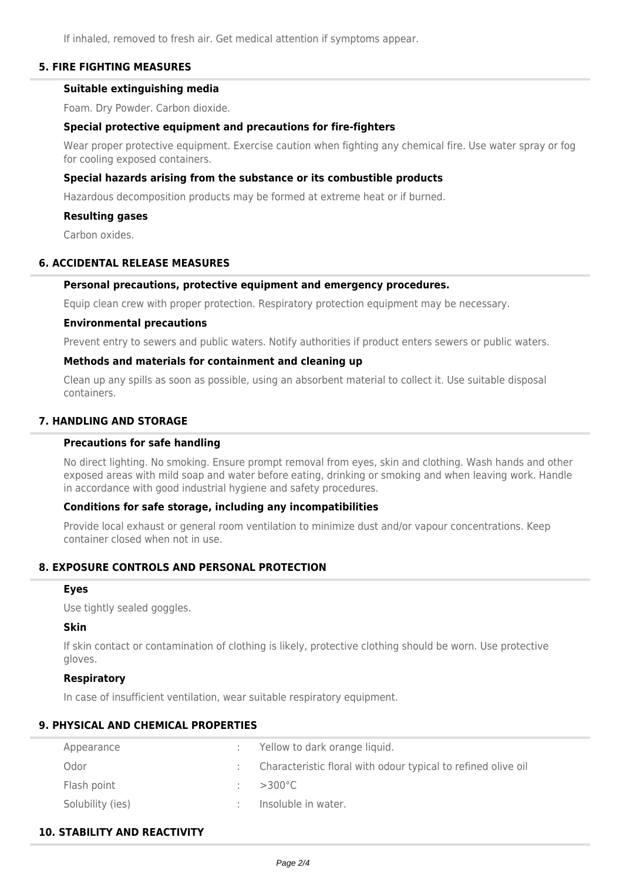If inhaled, removed to fresh air. Get medical attention if symptoms appear.

### **5. FIRE FIGHTING MEASURES**

# **Suitable extinguishing media**

Foam. Dry Powder. Carbon dioxide.

### **Special protective equipment and precautions for fire-fighters**

Wear proper protective equipment. Exercise caution when fighting any chemical fire. Use water spray or fog for cooling exposed containers.

### **Special hazards arising from the substance or its combustible products**

Hazardous decomposition products may be formed at extreme heat or if burned.

#### **Resulting gases**

Carbon oxides.

### **6. ACCIDENTAL RELEASE MEASURES**

#### **Personal precautions, protective equipment and emergency procedures.**

Equip clean crew with proper protection. Respiratory protection equipment may be necessary.

#### **Environmental precautions**

Prevent entry to sewers and public waters. Notify authorities if product enters sewers or public waters.

### **Methods and materials for containment and cleaning up**

Clean up any spills as soon as possible, using an absorbent material to collect it. Use suitable disposal containers.

### **7. HANDLING AND STORAGE**

## **Precautions for safe handling**

No direct lighting. No smoking. Ensure prompt removal from eyes, skin and clothing. Wash hands and other exposed areas with mild soap and water before eating, drinking or smoking and when leaving work. Handle in accordance with good industrial hygiene and safety procedures.

### **Conditions for safe storage, including any incompatibilities**

Provide local exhaust or general room ventilation to minimize dust and/or vapour concentrations. Keep container closed when not in use.

## **8. EXPOSURE CONTROLS AND PERSONAL PROTECTION**

#### **Eyes**

Use tightly sealed goggles.

### **Skin**

If skin contact or contamination of clothing is likely, protective clothing should be worn. Use protective gloves.

### **Respiratory**

In case of insufficient ventilation, wear suitable respiratory equipment.

### **9. PHYSICAL AND CHEMICAL PROPERTIES**

| Appearance       | Yellow to dark orange liquid.                                 |
|------------------|---------------------------------------------------------------|
| Odor             | Characteristic floral with odour typical to refined olive oil |
| Flash point      | $>300^{\circ}$ C                                              |
| Solubility (ies) | Insoluble in water.                                           |

### **10. STABILITY AND REACTIVITY**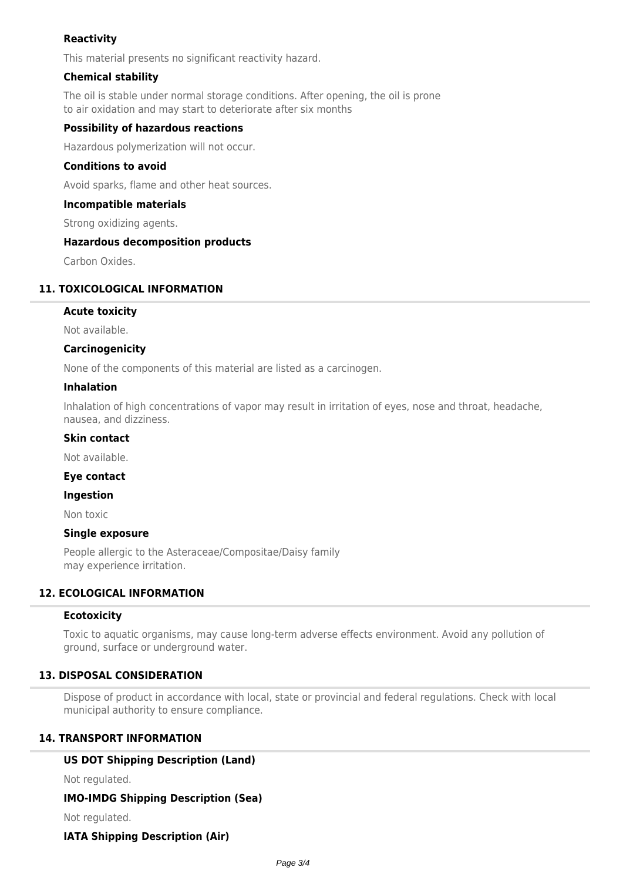## **Reactivity**

This material presents no significant reactivity hazard.

## **Chemical stability**

The oil is stable under normal storage conditions. After opening, the oil is prone to air oxidation and may start to deteriorate after six months

### **Possibility of hazardous reactions**

Hazardous polymerization will not occur.

### **Conditions to avoid**

Avoid sparks, flame and other heat sources.

### **Incompatible materials**

Strong oxidizing agents.

### **Hazardous decomposition products**

Carbon Oxides.

### **11. TOXICOLOGICAL INFORMATION**

### **Acute toxicity**

Not available.

### **Carcinogenicity**

None of the components of this material are listed as a carcinogen.

### **Inhalation**

Inhalation of high concentrations of vapor may result in irritation of eyes, nose and throat, headache, nausea, and dizziness.

#### **Skin contact**

Not available.

### **Eye contact**

### **Ingestion**

Non toxic

### **Single exposure**

People allergic to the Asteraceae/Compositae/Daisy family may experience irritation.

## **12. ECOLOGICAL INFORMATION**

### **Ecotoxicity**

Toxic to aquatic organisms, may cause long-term adverse effects environment. Avoid any pollution of ground, surface or underground water.

### **13. DISPOSAL CONSIDERATION**

Dispose of product in accordance with local, state or provincial and federal regulations. Check with local municipal authority to ensure compliance.

## **14. TRANSPORT INFORMATION**

### **US DOT Shipping Description (Land)**

Not regulated.

**IMO-IMDG Shipping Description (Sea)**

Not regulated.

### **IATA Shipping Description (Air)**